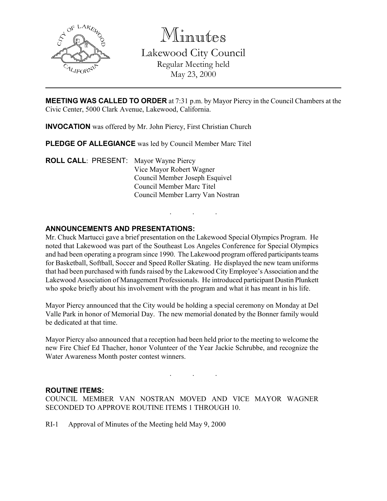

Minutes

Lakewood City Council Regular Meeting held May 23, 2000

**MEETING WAS CALLED TO ORDER** at 7:31 p.m. by Mayor Piercy in the Council Chambers at the Civic Center, 5000 Clark Avenue, Lakewood, California.

INVOCATION was offered by Mr. John Piercy, First Christian Church

PLEDGE OF ALLEGIANCE was led by Council Member Marc Titel

ROLL CALL: PRESENT: Mayor Wayne Piercy Vice Mayor Robert Wagner Council Member Joseph Esquivel Council Member Marc Titel Council Member Larry Van Nostran

# ANNOUNCEMENTS AND PRESENTATIONS:

Mr. Chuck Martucci gave a brief presentation on the Lakewood Special Olympics Program. He noted that Lakewood was part of the Southeast Los Angeles Conference for Special Olympics and had been operating a program since 1990. The Lakewood program offered participants teams for Basketball, Softball, Soccer and Speed Roller Skating. He displayed the new team uniforms that had been purchased with funds raised by the Lakewood City Employee's Association and the Lakewood Association of Management Professionals. He introduced participant Dustin Plunkett who spoke briefly about his involvement with the program and what it has meant in his life.

. . .

Mayor Piercy announced that the City would be holding a special ceremony on Monday at Del Valle Park in honor of Memorial Day. The new memorial donated by the Bonner family would be dedicated at that time.

Mayor Piercy also announced that a reception had been held prior to the meeting to welcome the new Fire Chief Ed Thacher, honor Volunteer of the Year Jackie Schrubbe, and recognize the Water Awareness Month poster contest winners.

. . .

## ROUTINE ITEMS:

COUNCIL MEMBER VAN NOSTRAN MOVED AND VICE MAYOR WAGNER SECONDED TO APPROVE ROUTINE ITEMS 1 THROUGH 10.

RI-1 Approval of Minutes of the Meeting held May 9, 2000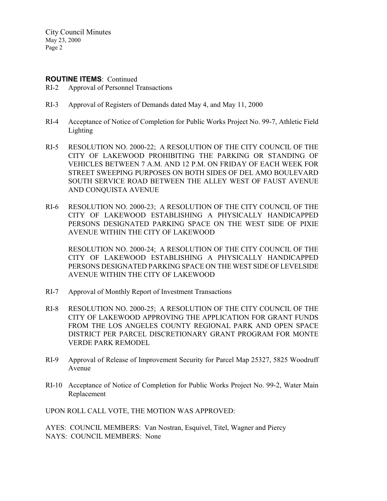#### ROUTINE ITEMS: Continued

- RI-2 Approval of Personnel Transactions
- RI-3 Approval of Registers of Demands dated May 4, and May 11, 2000
- RI-4 Acceptance of Notice of Completion for Public Works Project No. 99-7, Athletic Field Lighting
- RI-5 RESOLUTION NO. 2000-22; A RESOLUTION OF THE CITY COUNCIL OF THE CITY OF LAKEWOOD PROHIBITING THE PARKING OR STANDING OF VEHICLES BETWEEN 7 A.M. AND 12 P.M. ON FRIDAY OF EACH WEEK FOR STREET SWEEPING PURPOSES ON BOTH SIDES OF DEL AMO BOULEVARD SOUTH SERVICE ROAD BETWEEN THE ALLEY WEST OF FAUST AVENUE AND CONQUISTA AVENUE
- RI-6 RESOLUTION NO. 2000-23; A RESOLUTION OF THE CITY COUNCIL OF THE CITY OF LAKEWOOD ESTABLISHING A PHYSICALLY HANDICAPPED PERSONS DESIGNATED PARKING SPACE ON THE WEST SIDE OF PIXIE AVENUE WITHIN THE CITY OF LAKEWOOD

RESOLUTION NO. 2000-24; A RESOLUTION OF THE CITY COUNCIL OF THE CITY OF LAKEWOOD ESTABLISHING A PHYSICALLY HANDICAPPED PERSONS DESIGNATED PARKING SPACE ON THE WEST SIDE OF LEVELSIDE AVENUE WITHIN THE CITY OF LAKEWOOD

- RI-7 Approval of Monthly Report of Investment Transactions
- RI-8 RESOLUTION NO. 2000-25; A RESOLUTION OF THE CITY COUNCIL OF THE CITY OF LAKEWOOD APPROVING THE APPLICATION FOR GRANT FUNDS FROM THE LOS ANGELES COUNTY REGIONAL PARK AND OPEN SPACE DISTRICT PER PARCEL DISCRETIONARY GRANT PROGRAM FOR MONTE VERDE PARK REMODEL
- RI-9 Approval of Release of Improvement Security for Parcel Map 25327, 5825 Woodruff Avenue
- RI-10 Acceptance of Notice of Completion for Public Works Project No. 99-2, Water Main Replacement

UPON ROLL CALL VOTE, THE MOTION WAS APPROVED:

AYES: COUNCIL MEMBERS: Van Nostran, Esquivel, Titel, Wagner and Piercy NAYS: COUNCIL MEMBERS: None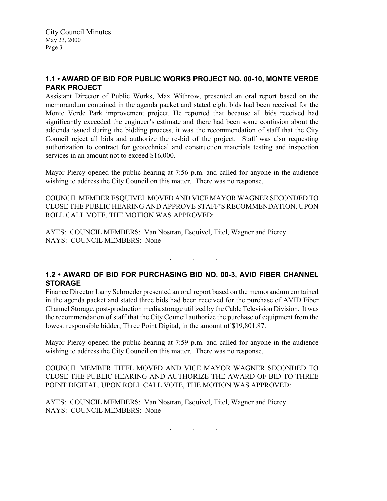# 1.1 • AWARD OF BID FOR PUBLIC WORKS PROJECT NO. 00-10, MONTE VERDE PARK PROJECT

Assistant Director of Public Works, Max Withrow, presented an oral report based on the memorandum contained in the agenda packet and stated eight bids had been received for the Monte Verde Park improvement project. He reported that because all bids received had significantly exceeded the engineer's estimate and there had been some confusion about the addenda issued during the bidding process, it was the recommendation of staff that the City Council reject all bids and authorize the re-bid of the project. Staff was also requesting authorization to contract for geotechnical and construction materials testing and inspection services in an amount not to exceed \$16,000.

Mayor Piercy opened the public hearing at 7:56 p.m. and called for anyone in the audience wishing to address the City Council on this matter. There was no response.

COUNCIL MEMBER ESQUIVEL MOVED AND VICE MAYOR WAGNER SECONDED TO CLOSE THE PUBLIC HEARING AND APPROVE STAFF'S RECOMMENDATION. UPON ROLL CALL VOTE, THE MOTION WAS APPROVED:

AYES: COUNCIL MEMBERS: Van Nostran, Esquivel, Titel, Wagner and Piercy NAYS: COUNCIL MEMBERS: None

. . .

# 1.2 • AWARD OF BID FOR PURCHASING BID NO. 00-3, AVID FIBER CHANNEL **STORAGE**

Finance Director Larry Schroeder presented an oral report based on the memorandum contained in the agenda packet and stated three bids had been received for the purchase of AVID Fiber Channel Storage, post-production media storage utilized by the Cable Television Division. It was the recommendation of staff that the City Council authorize the purchase of equipment from the lowest responsible bidder, Three Point Digital, in the amount of \$19,801.87.

Mayor Piercy opened the public hearing at 7:59 p.m. and called for anyone in the audience wishing to address the City Council on this matter. There was no response.

COUNCIL MEMBER TITEL MOVED AND VICE MAYOR WAGNER SECONDED TO CLOSE THE PUBLIC HEARING AND AUTHORIZE THE AWARD OF BID TO THREE POINT DIGITAL. UPON ROLL CALL VOTE, THE MOTION WAS APPROVED:

AYES: COUNCIL MEMBERS: Van Nostran, Esquivel, Titel, Wagner and Piercy NAYS: COUNCIL MEMBERS: None

. . .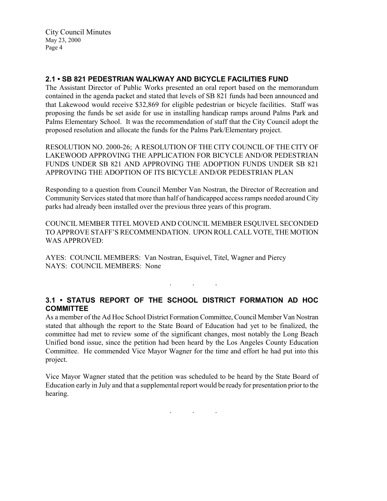## 2.1 • SB 821 PEDESTRIAN WALKWAY AND BICYCLE FACILITIES FUND

The Assistant Director of Public Works presented an oral report based on the memorandum contained in the agenda packet and stated that levels of SB 821 funds had been announced and that Lakewood would receive \$32,869 for eligible pedestrian or bicycle facilities. Staff was proposing the funds be set aside for use in installing handicap ramps around Palms Park and Palms Elementary School. It was the recommendation of staff that the City Council adopt the proposed resolution and allocate the funds for the Palms Park/Elementary project.

RESOLUTION NO. 2000-26; A RESOLUTION OF THE CITY COUNCIL OF THE CITY OF LAKEWOOD APPROVING THE APPLICATION FOR BICYCLE AND/OR PEDESTRIAN FUNDS UNDER SB 821 AND APPROVING THE ADOPTION FUNDS UNDER SB 821 APPROVING THE ADOPTION OF ITS BICYCLE AND/OR PEDESTRIAN PLAN

Responding to a question from Council Member Van Nostran, the Director of Recreation and Community Services stated that more than half of handicapped access ramps needed around City parks had already been installed over the previous three years of this program.

COUNCIL MEMBER TITEL MOVED AND COUNCIL MEMBER ESQUIVEL SECONDED TO APPROVE STAFF'S RECOMMENDATION. UPON ROLL CALL VOTE, THE MOTION WAS APPROVED:

AYES: COUNCIL MEMBERS: Van Nostran, Esquivel, Titel, Wagner and Piercy NAYS: COUNCIL MEMBERS: None

# 3.1 • STATUS REPORT OF THE SCHOOL DISTRICT FORMATION AD HOC COMMITTEE

. . .

As a member of the Ad Hoc School District Formation Committee, Council Member Van Nostran stated that although the report to the State Board of Education had yet to be finalized, the committee had met to review some of the significant changes, most notably the Long Beach Unified bond issue, since the petition had been heard by the Los Angeles County Education Committee. He commended Vice Mayor Wagner for the time and effort he had put into this project.

Vice Mayor Wagner stated that the petition was scheduled to be heard by the State Board of Education early in July and that a supplemental report would be ready for presentation prior to the hearing.

 $\mathbf{r}$  .  $\mathbf{r}$  ,  $\mathbf{r}$  ,  $\mathbf{r}$  ,  $\mathbf{r}$  ,  $\mathbf{r}$  ,  $\mathbf{r}$  ,  $\mathbf{r}$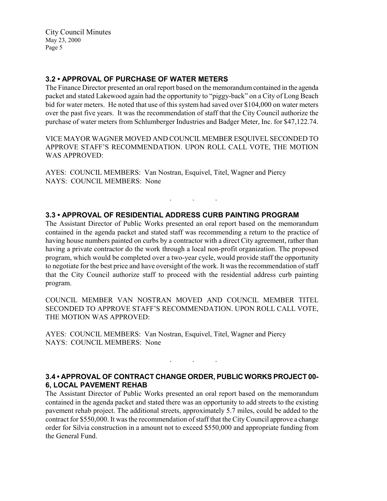### 3.2 • APPROVAL OF PURCHASE OF WATER METERS

The Finance Director presented an oral report based on the memorandum contained in the agenda packet and stated Lakewood again had the opportunity to "piggy-back" on a City of Long Beach bid for water meters. He noted that use of this system had saved over \$104,000 on water meters over the past five years. It was the recommendation of staff that the City Council authorize the purchase of water meters from Schlumberger Industries and Badger Meter, Inc. for \$47,122.74.

VICE MAYOR WAGNER MOVED AND COUNCIL MEMBER ESQUIVEL SECONDED TO APPROVE STAFF'S RECOMMENDATION. UPON ROLL CALL VOTE, THE MOTION WAS APPROVED:

. . .

AYES: COUNCIL MEMBERS: Van Nostran, Esquivel, Titel, Wagner and Piercy NAYS: COUNCIL MEMBERS: None

### 3.3 • APPROVAL OF RESIDENTIAL ADDRESS CURB PAINTING PROGRAM

The Assistant Director of Public Works presented an oral report based on the memorandum contained in the agenda packet and stated staff was recommending a return to the practice of having house numbers painted on curbs by a contractor with a direct City agreement, rather than having a private contractor do the work through a local non-profit organization. The proposed program, which would be completed over a two-year cycle, would provide staff the opportunity to negotiate for the best price and have oversight of the work. It was the recommendation of staff that the City Council authorize staff to proceed with the residential address curb painting program.

COUNCIL MEMBER VAN NOSTRAN MOVED AND COUNCIL MEMBER TITEL SECONDED TO APPROVE STAFF'S RECOMMENDATION. UPON ROLL CALL VOTE, THE MOTION WAS APPROVED:

AYES: COUNCIL MEMBERS: Van Nostran, Esquivel, Titel, Wagner and Piercy NAYS: COUNCIL MEMBERS: None

## 3.4 • APPROVAL OF CONTRACT CHANGE ORDER, PUBLIC WORKS PROJECT 00- 6, LOCAL PAVEMENT REHAB

. . .

The Assistant Director of Public Works presented an oral report based on the memorandum contained in the agenda packet and stated there was an opportunity to add streets to the existing pavement rehab project. The additional streets, approximately 5.7 miles, could be added to the contract for \$550,000. It was the recommendation of staff that the City Council approve a change order for Silvia construction in a amount not to exceed \$550,000 and appropriate funding from the General Fund.